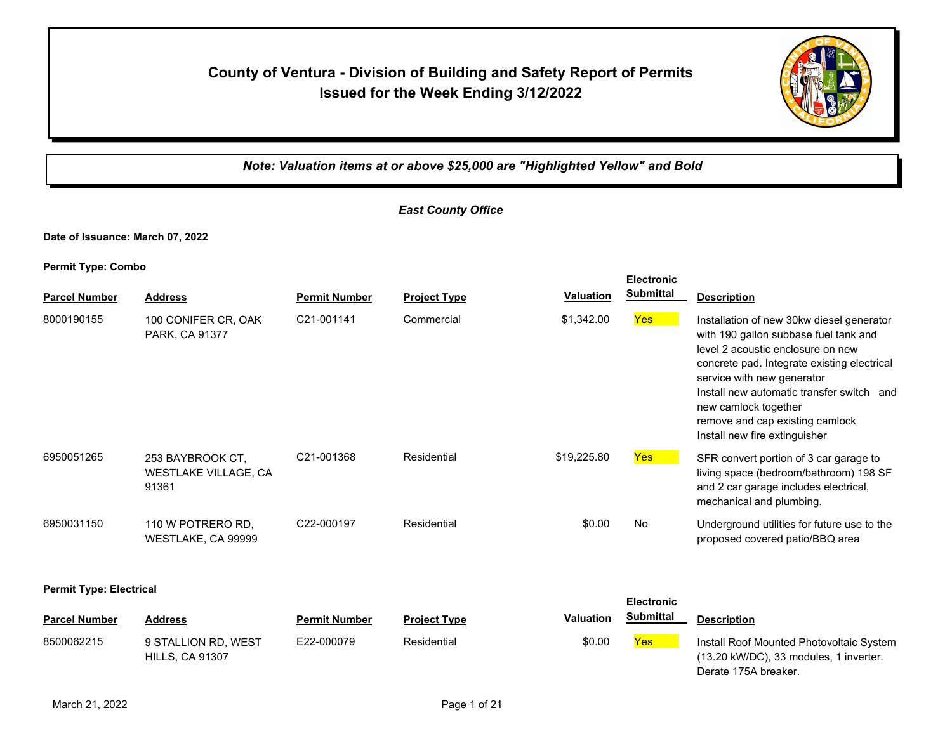## **County of Ventura - Division of Building and Safety Report of Permits Issued for the Week Ending 3/12/2022**



*Note: Valuation items at or above \$25,000 are "Highlighted Yellow" and Bold*

## *East County Office*

**Date of Issuance: March 07, 2022**

**Permit Type: Combo**

|                                |                                                          |                      |                     |                  | <b>Electronic</b><br><b>Submittal</b> |                                                                                                                                                                                                                                                                                                                                               |
|--------------------------------|----------------------------------------------------------|----------------------|---------------------|------------------|---------------------------------------|-----------------------------------------------------------------------------------------------------------------------------------------------------------------------------------------------------------------------------------------------------------------------------------------------------------------------------------------------|
| <b>Parcel Number</b>           | <b>Address</b>                                           | <b>Permit Number</b> | <b>Project Type</b> | <b>Valuation</b> |                                       | <b>Description</b>                                                                                                                                                                                                                                                                                                                            |
| 8000190155                     | 100 CONIFER CR, OAK<br>PARK, CA 91377                    | C21-001141           | Commercial          | \$1,342.00       | Yes                                   | Installation of new 30kw diesel generator<br>with 190 gallon subbase fuel tank and<br>level 2 acoustic enclosure on new<br>concrete pad. Integrate existing electrical<br>service with new generator<br>Install new automatic transfer switch and<br>new camlock together<br>remove and cap existing camlock<br>Install new fire extinguisher |
| 6950051265                     | 253 BAYBROOK CT,<br><b>WESTLAKE VILLAGE, CA</b><br>91361 | C21-001368           | Residential         | \$19,225.80      | <b>Yes</b>                            | SFR convert portion of 3 car garage to<br>living space (bedroom/bathroom) 198 SF<br>and 2 car garage includes electrical,<br>mechanical and plumbing.                                                                                                                                                                                         |
| 6950031150                     | 110 W POTRERO RD,<br>WESTLAKE, CA 99999                  | C22-000197           | Residential         | \$0.00           | No                                    | Underground utilities for future use to the<br>proposed covered patio/BBQ area                                                                                                                                                                                                                                                                |
| <b>Permit Type: Electrical</b> |                                                          |                      |                     |                  | <b>Electronic</b>                     |                                                                                                                                                                                                                                                                                                                                               |
| <b>Parcel Number</b>           | <b>Address</b>                                           | <b>Permit Number</b> | <b>Project Type</b> | <b>Valuation</b> | <b>Submittal</b>                      | <b>Description</b>                                                                                                                                                                                                                                                                                                                            |
| 8500062215                     | 9 STALLION RD, WEST<br><b>HILLS, CA 91307</b>            | E22-000079           | Residential         | \$0.00           | <b>Yes</b>                            | Install Roof Mounted Photovoltaic System<br>(13.20 kW/DC), 33 modules, 1 inverter.<br>Derate 175A breaker.                                                                                                                                                                                                                                    |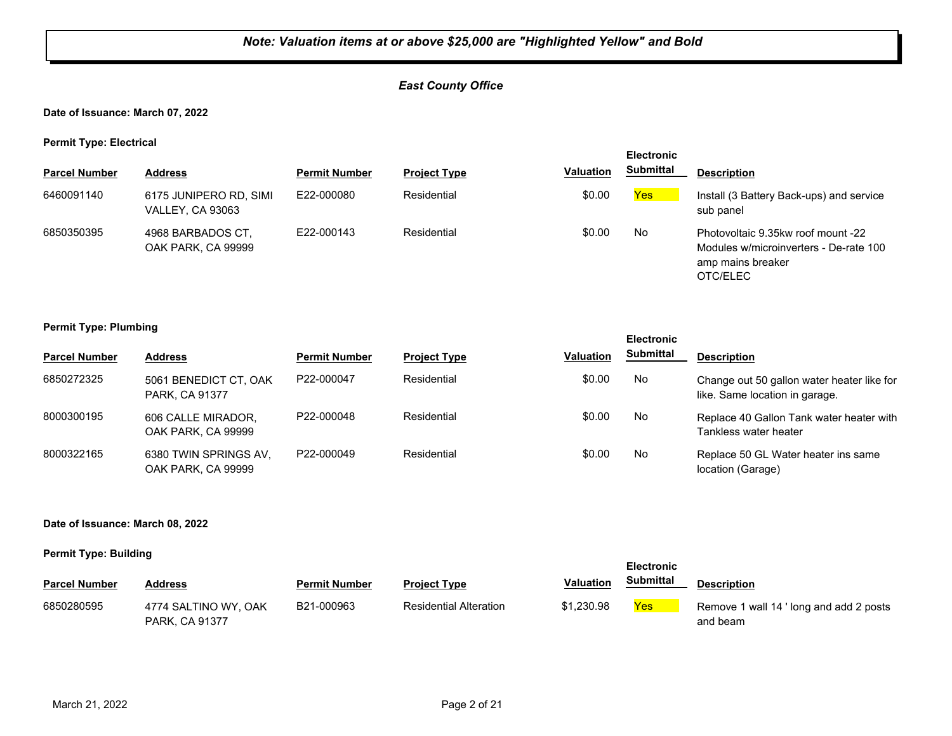#### *East County Office*

**Date of Issuance: March 07, 2022**

**Permit Type: Electrical**

|                      |                                            |                      |                     |                  | <b>Electronic</b> |                                                                                                               |
|----------------------|--------------------------------------------|----------------------|---------------------|------------------|-------------------|---------------------------------------------------------------------------------------------------------------|
| <b>Parcel Number</b> | <b>Address</b>                             | <b>Permit Number</b> | <b>Project Type</b> | <b>Valuation</b> | <b>Submittal</b>  | <b>Description</b>                                                                                            |
| 6460091140           | 6175 JUNIPERO RD, SIMI<br>VALLEY, CA 93063 | E22-000080           | Residential         | \$0.00           | Yes               | Install (3 Battery Back-ups) and service<br>sub panel                                                         |
| 6850350395           | 4968 BARBADOS CT.<br>OAK PARK, CA 99999    | E22-000143           | Residential         | \$0.00           | No                | Photovoltaic 9.35kw roof mount -22<br>Modules w/microinverters - De-rate 100<br>amp mains breaker<br>OTC/ELEC |

#### **Permit Type: Plumbing**

|                      |                                             |                      |                     |                  | <b>Electronic</b> |                                                                              |
|----------------------|---------------------------------------------|----------------------|---------------------|------------------|-------------------|------------------------------------------------------------------------------|
| <b>Parcel Number</b> | <b>Address</b>                              | <b>Permit Number</b> | <b>Project Type</b> | <b>Valuation</b> | <b>Submittal</b>  | <b>Description</b>                                                           |
| 6850272325           | 5061 BENEDICT CT, OAK<br>PARK, CA 91377     | P22-000047           | Residential         | \$0.00           | No                | Change out 50 gallon water heater like for<br>like. Same location in garage. |
| 8000300195           | 606 CALLE MIRADOR.<br>OAK PARK, CA 99999    | P22-000048           | Residential         | \$0.00           | No.               | Replace 40 Gallon Tank water heater with<br>Tankless water heater            |
| 8000322165           | 6380 TWIN SPRINGS AV.<br>OAK PARK, CA 99999 | P22-000049           | Residential         | \$0.00           | No                | Replace 50 GL Water heater ins same<br>location (Garage)                     |

#### **Date of Issuance: March 08, 2022**

| <b>Electronic</b>    |                                               |                      |                               |                  |            |                                                     |
|----------------------|-----------------------------------------------|----------------------|-------------------------------|------------------|------------|-----------------------------------------------------|
| <b>Parcel Number</b> | Address                                       | <b>Permit Number</b> | <b>Project Type</b>           | <b>Valuation</b> | Submittal  | <b>Description</b>                                  |
| 6850280595           | 4774 SALTINO WY, OAK<br><b>PARK, CA 91377</b> | B21-000963           | <b>Residential Alteration</b> | \$1,230.98       | <b>Yes</b> | Remove 1 wall 14 ' long and add 2 posts<br>and beam |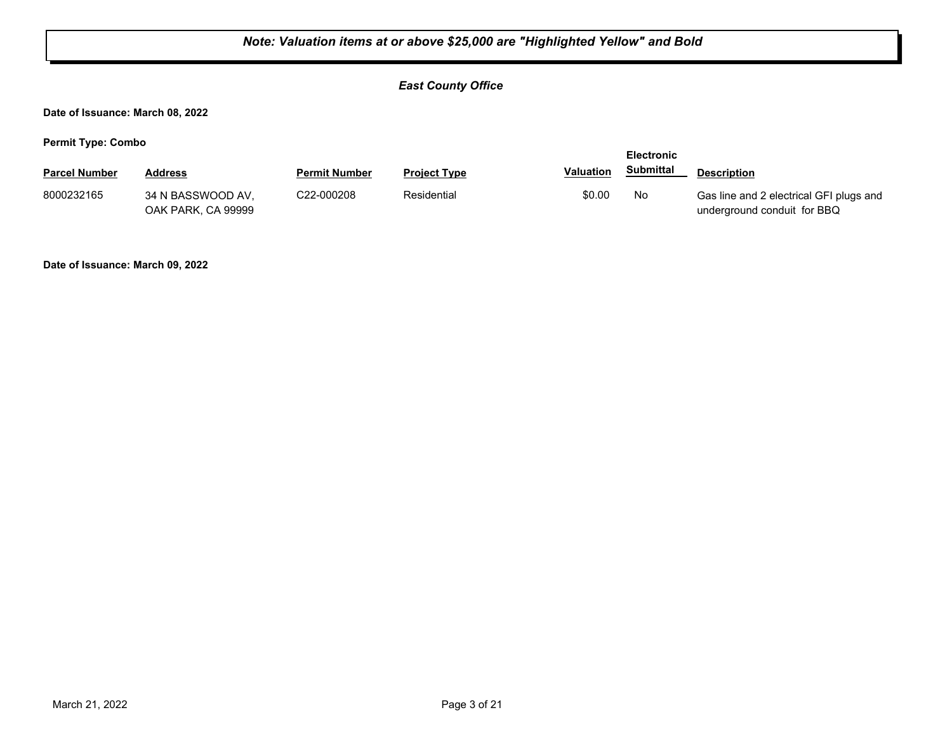#### *East County Office*

**Date of Issuance: March 08, 2022**

**Permit Type: Combo**

| . .                  |                                         |                         |                     |                  | <b>Electronic</b> |                                                                        |
|----------------------|-----------------------------------------|-------------------------|---------------------|------------------|-------------------|------------------------------------------------------------------------|
| <b>Parcel Number</b> | <b>Address</b>                          | <b>Permit Number</b>    | <b>Project Type</b> | <b>Valuation</b> | Submittal         | <b>Description</b>                                                     |
| 8000232165           | 34 N BASSWOOD AV.<br>OAK PARK, CA 99999 | C <sub>22</sub> -000208 | Residential         | \$0.00           | No                | Gas line and 2 electrical GFI plugs and<br>underground conduit for BBQ |

**Date of Issuance: March 09, 2022**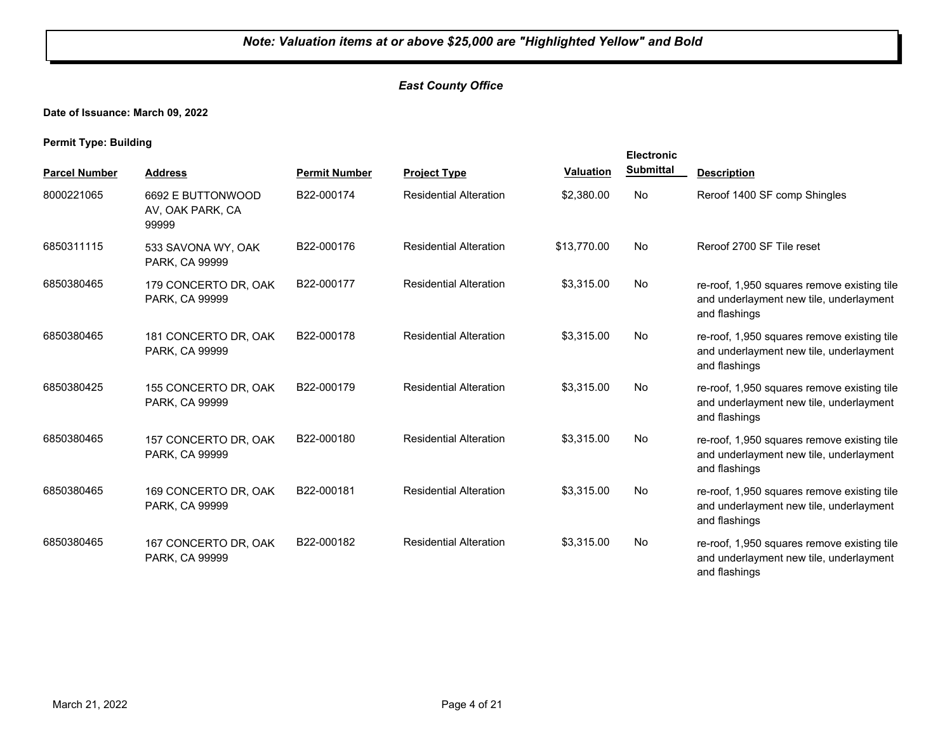#### *East County Office*

#### **Date of Issuance: March 09, 2022**

|                      |                                                |                      |                               |                  | <b>Electronic</b> |                                                                                                         |
|----------------------|------------------------------------------------|----------------------|-------------------------------|------------------|-------------------|---------------------------------------------------------------------------------------------------------|
| <b>Parcel Number</b> | <b>Address</b>                                 | <b>Permit Number</b> | <b>Project Type</b>           | <b>Valuation</b> | <b>Submittal</b>  | <b>Description</b>                                                                                      |
| 8000221065           | 6692 E BUTTONWOOD<br>AV, OAK PARK, CA<br>99999 | B22-000174           | <b>Residential Alteration</b> | \$2,380.00       | No                | Reroof 1400 SF comp Shingles                                                                            |
| 6850311115           | 533 SAVONA WY, OAK<br>PARK, CA 99999           | B22-000176           | <b>Residential Alteration</b> | \$13,770.00      | No                | Reroof 2700 SF Tile reset                                                                               |
| 6850380465           | 179 CONCERTO DR, OAK<br>PARK, CA 99999         | B22-000177           | <b>Residential Alteration</b> | \$3,315.00       | No.               | re-roof, 1,950 squares remove existing tile<br>and underlayment new tile, underlayment<br>and flashings |
| 6850380465           | 181 CONCERTO DR, OAK<br>PARK, CA 99999         | B22-000178           | <b>Residential Alteration</b> | \$3,315.00       | No                | re-roof, 1,950 squares remove existing tile<br>and underlayment new tile, underlayment<br>and flashings |
| 6850380425           | 155 CONCERTO DR, OAK<br>PARK, CA 99999         | B22-000179           | <b>Residential Alteration</b> | \$3,315.00       | No                | re-roof, 1,950 squares remove existing tile<br>and underlayment new tile, underlayment<br>and flashings |
| 6850380465           | 157 CONCERTO DR, OAK<br>PARK, CA 99999         | B22-000180           | <b>Residential Alteration</b> | \$3,315.00       | No                | re-roof, 1,950 squares remove existing tile<br>and underlayment new tile, underlayment<br>and flashings |
| 6850380465           | 169 CONCERTO DR, OAK<br>PARK, CA 99999         | B22-000181           | <b>Residential Alteration</b> | \$3,315.00       | No                | re-roof, 1,950 squares remove existing tile<br>and underlayment new tile, underlayment<br>and flashings |
| 6850380465           | 167 CONCERTO DR, OAK<br>PARK, CA 99999         | B22-000182           | <b>Residential Alteration</b> | \$3,315.00       | No                | re-roof, 1,950 squares remove existing tile<br>and underlayment new tile, underlayment<br>and flashings |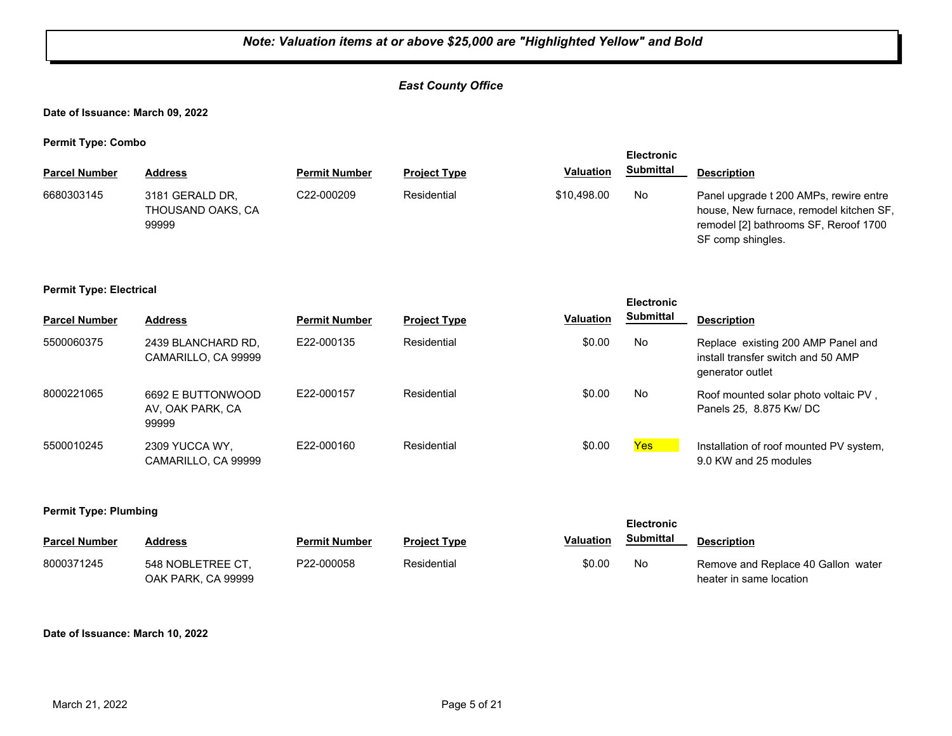#### *East County Office*

**Date of Issuance: March 09, 2022**

**Permit Type: Combo**

|                      |                                               |                      |                     |                  | <b>Electronic</b> |                                                                                                                                                 |
|----------------------|-----------------------------------------------|----------------------|---------------------|------------------|-------------------|-------------------------------------------------------------------------------------------------------------------------------------------------|
| <b>Parcel Number</b> | Address                                       | <b>Permit Number</b> | <b>Project Type</b> | <b>Valuation</b> | <b>Submittal</b>  | <b>Description</b>                                                                                                                              |
| 6680303145           | 3181 GERALD DR.<br>THOUSAND OAKS, CA<br>99999 | C22-000209           | Residential         | \$10,498.00      | No                | Panel upgrade t 200 AMPs, rewire entre<br>house, New furnace, remodel kitchen SF,<br>remodel [2] bathrooms SF, Reroof 1700<br>SF comp shingles. |

#### **Permit Type: Electrical**

|                      |                                                |                      |                     |                  | <b>Electronic</b> |                                                                                              |
|----------------------|------------------------------------------------|----------------------|---------------------|------------------|-------------------|----------------------------------------------------------------------------------------------|
| <b>Parcel Number</b> | <b>Address</b>                                 | <b>Permit Number</b> | <b>Project Type</b> | <b>Valuation</b> | <b>Submittal</b>  | <b>Description</b>                                                                           |
| 5500060375           | 2439 BLANCHARD RD.<br>CAMARILLO, CA 99999      | E22-000135           | Residential         | \$0.00           | No                | Replace existing 200 AMP Panel and<br>install transfer switch and 50 AMP<br>generator outlet |
| 8000221065           | 6692 E BUTTONWOOD<br>AV, OAK PARK, CA<br>99999 | E22-000157           | Residential         | \$0.00           | No.               | Roof mounted solar photo voltaic PV,<br>Panels 25, 8.875 Kw/ DC                              |
| 5500010245           | 2309 YUCCA WY,<br>CAMARILLO, CA 99999          | F22-000160           | Residential         | \$0.00           | <b>Yes</b>        | Installation of roof mounted PV system,<br>9.0 KW and 25 modules                             |

#### **Permit Type: Plumbing**

| <b>Parcel Number</b> | <b>Address</b>                          | <b>Permit Number</b> | <b>Project Type</b> | Valuation | Submittal | <b>Description</b>                                            |
|----------------------|-----------------------------------------|----------------------|---------------------|-----------|-----------|---------------------------------------------------------------|
| 8000371245           | 548 NOBLETREE CT.<br>OAK PARK. CA 99999 | P22-000058           | Residential         | \$0.00    | No        | Remove and Replace 40 Gallon water<br>heater in same location |

**Electronic** 

#### **Date of Issuance: March 10, 2022**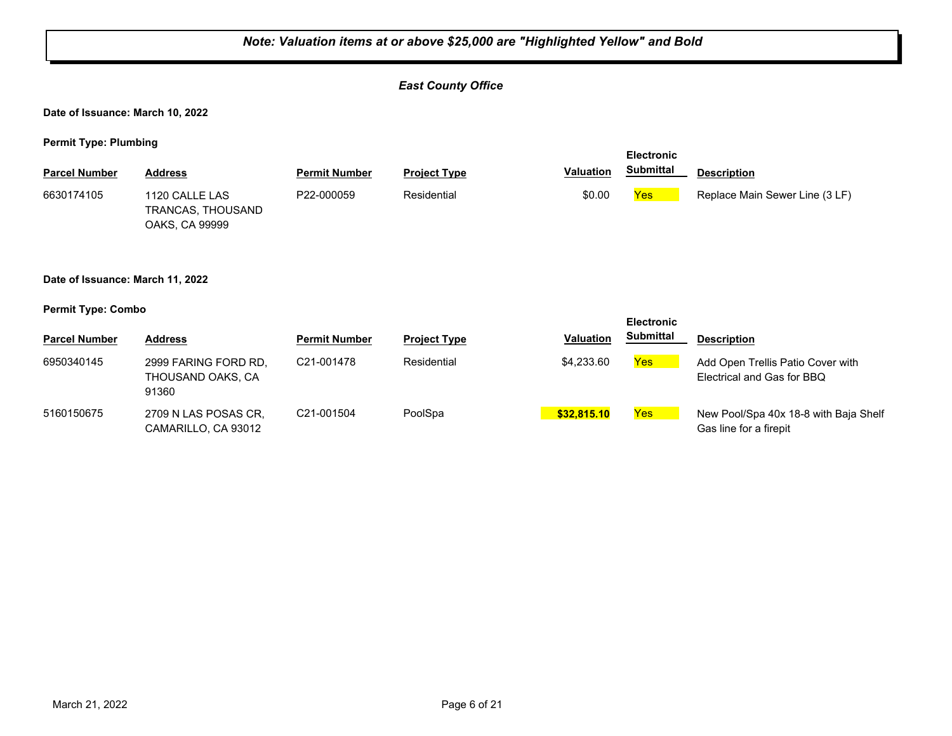## *Note: Valuation items at or above \$25,000 are "Highlighted Yellow" and Bold East County Office* **Date of Issuance: March 10, 2022 Permit Type: Plumbing Parcel Number Address <b>Permit Number Project Type Valuation Submittal** Description **Electronic Submittal** 1120 CALLE LAS TRANCAS, THOUSAND OAKS, CA 99999 6630174105 1120 CALLE LAS P22-000059 Residential \$0.00 Yes Replace Main Sewer Line (3 LF) **Date of Issuance: March 11, 2022 Permit Type: Combo Parcel Number Address <b>Permit Number Project Type Valuation Submittal** Description **Electronic Submittal** 6950340145 2999 FARING FORD RD, C21-001478 Residential \$4,233.60 <mark>Yes</mark> THOUSAND OAKS, CA 91360 C21-001478 Residential **Residential** \$4,233.60 **Yes** Add Open Trellis Patio Cover with Electrical and Gas for BBQ 5160150675 2709 N LAS POSAS CR, C21-001504 PoolSpa <mark> \$32,815.10</mark> <mark>Yes</mark> CAMARILLO, CA 93012 C21-001504 PoolSpa **business ProolSpa 10 C21-001504** Pool/Spa 40x 18-8 with Baja Shelf Gas line for a firepit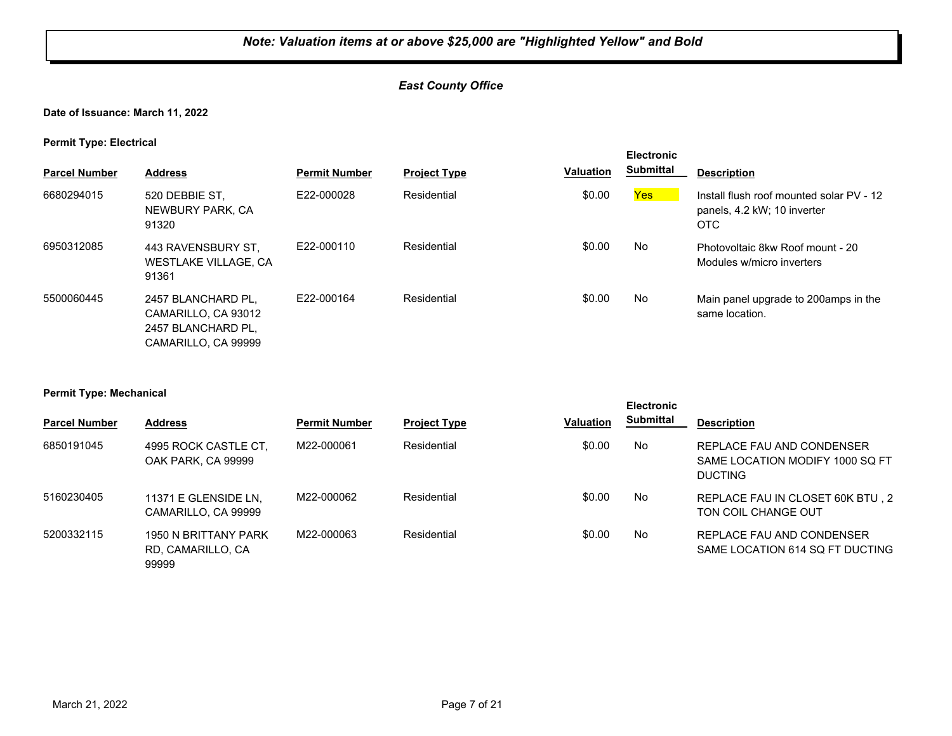#### *East County Office*

**Date of Issuance: March 11, 2022**

**Permit Type: Electrical**

| <b>Parcel Number</b> | <b>Address</b>                                                                         | <b>Permit Number</b> | <b>Project Type</b> | <b>Valuation</b> | <b>Electronic</b><br><b>Submittal</b> | <b>Description</b>                                                             |
|----------------------|----------------------------------------------------------------------------------------|----------------------|---------------------|------------------|---------------------------------------|--------------------------------------------------------------------------------|
| 6680294015           | 520 DEBBIE ST,<br>NEWBURY PARK, CA<br>91320                                            | E22-000028           | Residential         | \$0.00           | <b>Yes</b>                            | Install flush roof mounted solar PV - 12<br>panels, 4.2 kW; 10 inverter<br>OTC |
| 6950312085           | 443 RAVENSBURY ST.<br><b>WESTLAKE VILLAGE, CA</b><br>91361                             | E22-000110           | Residential         | \$0.00           | No                                    | Photovoltaic 8kw Roof mount - 20<br>Modules w/micro inverters                  |
| 5500060445           | 2457 BLANCHARD PL.<br>CAMARILLO, CA 93012<br>2457 BLANCHARD PL.<br>CAMARILLO, CA 99999 | F22-000164           | Residential         | \$0.00           | No                                    | Main panel upgrade to 200 amps in the<br>same location.                        |

#### **Permit Type: Mechanical**

|                      |                                                    |                      |                     |                  | <b>Electronic</b> |                                                                                |  |
|----------------------|----------------------------------------------------|----------------------|---------------------|------------------|-------------------|--------------------------------------------------------------------------------|--|
| <b>Parcel Number</b> | <b>Address</b>                                     | <b>Permit Number</b> | <b>Project Type</b> | <b>Valuation</b> | <b>Submittal</b>  | <b>Description</b>                                                             |  |
| 6850191045           | 4995 ROCK CASTLE CT.<br>OAK PARK, CA 99999         | M22-000061           | Residential         | \$0.00           | No                | REPLACE FAU AND CONDENSER<br>SAME LOCATION MODIFY 1000 SQ FT<br><b>DUCTING</b> |  |
| 5160230405           | 11371 E GLENSIDE LN,<br>CAMARILLO, CA 99999        | M22-000062           | Residential         | \$0.00           | No                | REPLACE FAU IN CLOSET 60K BTU, 2<br>TON COIL CHANGE OUT                        |  |
| 5200332115           | 1950 N BRITTANY PARK<br>RD, CAMARILLO, CA<br>99999 | M22-000063           | Residential         | \$0.00           | No                | REPLACE FAU AND CONDENSER<br>SAME LOCATION 614 SQ FT DUCTING                   |  |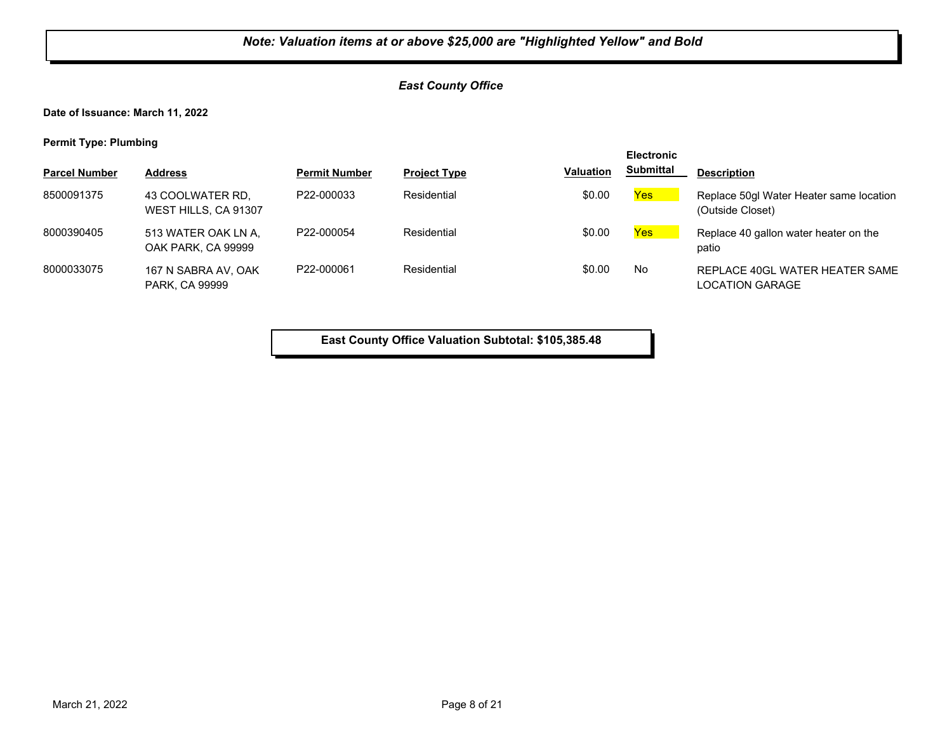#### *East County Office*

**Date of Issuance: March 11, 2022**

**Permit Type: Plumbing**

|                      |                                              |                      |                     |           | <b>Electronic</b> |                                                             |
|----------------------|----------------------------------------------|----------------------|---------------------|-----------|-------------------|-------------------------------------------------------------|
| <b>Parcel Number</b> | <b>Address</b>                               | <b>Permit Number</b> | <b>Project Type</b> | Valuation | <b>Submittal</b>  | <b>Description</b>                                          |
| 8500091375           | 43 COOLWATER RD,<br>WEST HILLS, CA 91307     | P22-000033           | Residential         | \$0.00    | <b>Yes</b>        | Replace 50gl Water Heater same location<br>(Outside Closet) |
| 8000390405           | 513 WATER OAK LN A,<br>OAK PARK, CA 99999    | P22-000054           | Residential         | \$0.00    | Yes               | Replace 40 gallon water heater on the<br>patio              |
| 8000033075           | 167 N SABRA AV, OAK<br><b>PARK, CA 99999</b> | P22-000061           | Residential         | \$0.00    | No                | REPLACE 40GL WATER HEATER SAME<br><b>LOCATION GARAGE</b>    |

**East County Office Valuation Subtotal: \$105,385.48**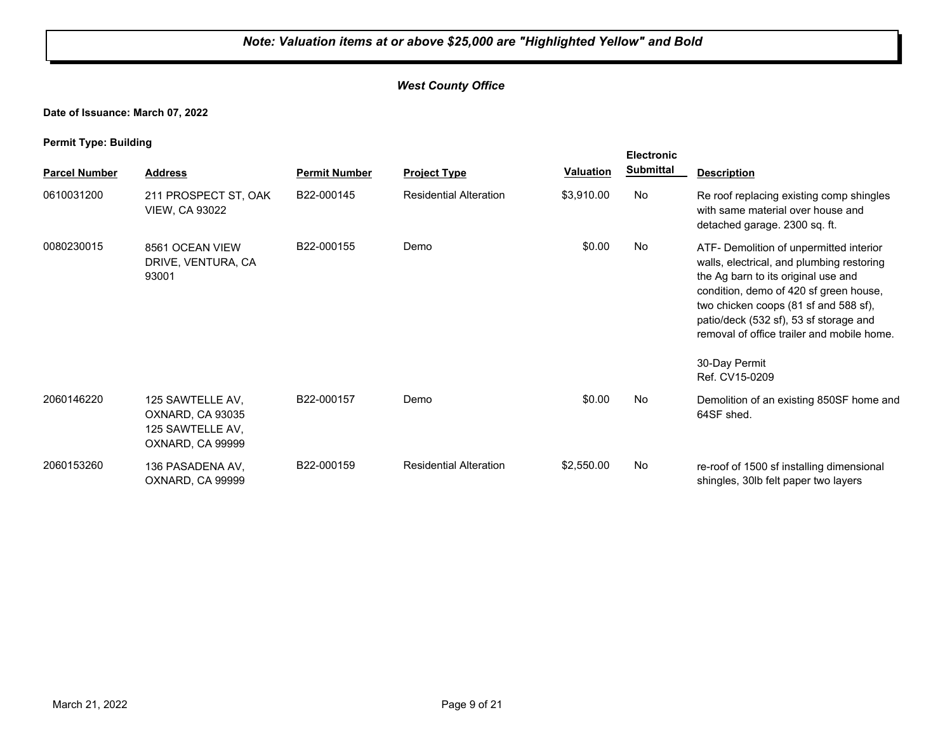#### *West County Office*

**Date of Issuance: March 07, 2022**

| <b>Parcel Number</b> | <b>Address</b>                                                               | <b>Permit Number</b> | <b>Project Type</b>           | Valuation  | <b>Electronic</b><br><b>Submittal</b> | <b>Description</b>                                                                                                                                                                                                                                                                                                                        |
|----------------------|------------------------------------------------------------------------------|----------------------|-------------------------------|------------|---------------------------------------|-------------------------------------------------------------------------------------------------------------------------------------------------------------------------------------------------------------------------------------------------------------------------------------------------------------------------------------------|
| 0610031200           | 211 PROSPECT ST, OAK<br><b>VIEW, CA 93022</b>                                | B22-000145           | <b>Residential Alteration</b> | \$3,910.00 | <b>No</b>                             | Re roof replacing existing comp shingles<br>with same material over house and<br>detached garage. 2300 sq. ft.                                                                                                                                                                                                                            |
| 0080230015           | 8561 OCEAN VIEW<br>DRIVE, VENTURA, CA<br>93001                               | B22-000155           | Demo                          | \$0.00     | No                                    | ATF- Demolition of unpermitted interior<br>walls, electrical, and plumbing restoring<br>the Ag barn to its original use and<br>condition, demo of 420 sf green house,<br>two chicken coops (81 sf and 588 sf),<br>patio/deck (532 sf), 53 sf storage and<br>removal of office trailer and mobile home.<br>30-Day Permit<br>Ref. CV15-0209 |
|                      |                                                                              |                      |                               |            |                                       |                                                                                                                                                                                                                                                                                                                                           |
| 2060146220           | 125 SAWTELLE AV,<br>OXNARD, CA 93035<br>125 SAWTELLE AV,<br>OXNARD, CA 99999 | B22-000157           | Demo                          | \$0.00     | No                                    | Demolition of an existing 850SF home and<br>64SF shed.                                                                                                                                                                                                                                                                                    |
| 2060153260           | 136 PASADENA AV.<br>OXNARD, CA 99999                                         | B22-000159           | <b>Residential Alteration</b> | \$2,550.00 | No                                    | re-roof of 1500 sf installing dimensional<br>shingles, 30lb felt paper two layers                                                                                                                                                                                                                                                         |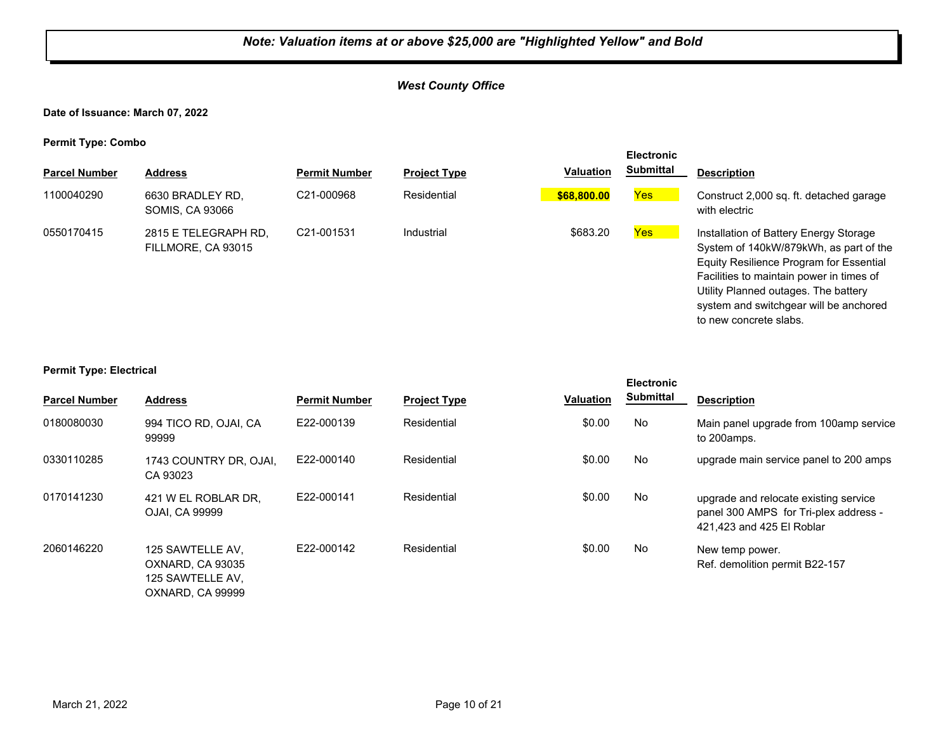#### *West County Office*

**Date of Issuance: March 07, 2022**

**Permit Type: Combo**

|                      |                                            |                         |                     |                  | <b>Electronic</b> |                                                                                                                                                                                                                                                                                     |
|----------------------|--------------------------------------------|-------------------------|---------------------|------------------|-------------------|-------------------------------------------------------------------------------------------------------------------------------------------------------------------------------------------------------------------------------------------------------------------------------------|
| <b>Parcel Number</b> | <b>Address</b>                             | <b>Permit Number</b>    | <b>Project Type</b> | <b>Valuation</b> | <b>Submittal</b>  | <b>Description</b>                                                                                                                                                                                                                                                                  |
| 1100040290           | 6630 BRADLEY RD.<br><b>SOMIS, CA 93066</b> | C <sub>21</sub> -000968 | Residential         | \$68,800.00      | <b>Yes</b>        | Construct 2,000 sq. ft. detached garage<br>with electric                                                                                                                                                                                                                            |
| 0550170415           | 2815 E TELEGRAPH RD.<br>FILLMORE, CA 93015 | C21-001531              | Industrial          | \$683.20         | <b>Yes</b>        | Installation of Battery Energy Storage<br>System of 140kW/879kWh, as part of the<br>Equity Resilience Program for Essential<br>Facilities to maintain power in times of<br>Utility Planned outages. The battery<br>system and switchgear will be anchored<br>to new concrete slabs. |

#### **Permit Type: Electrical**

|                      |                                                                              |                      |                     |                  | <b>Electronic</b> |                                                                                                             |
|----------------------|------------------------------------------------------------------------------|----------------------|---------------------|------------------|-------------------|-------------------------------------------------------------------------------------------------------------|
| <b>Parcel Number</b> | <b>Address</b>                                                               | <b>Permit Number</b> | <b>Project Type</b> | <b>Valuation</b> | <b>Submittal</b>  | <b>Description</b>                                                                                          |
| 0180080030           | 994 TICO RD, OJAI, CA<br>99999                                               | E22-000139           | Residential         | \$0.00           | No                | Main panel upgrade from 100amp service<br>to 200amps.                                                       |
| 0330110285           | 1743 COUNTRY DR, OJAI,<br>CA 93023                                           | E22-000140           | Residential         | \$0.00           | No                | upgrade main service panel to 200 amps                                                                      |
| 0170141230           | 421 W EL ROBLAR DR.<br>OJAI, CA 99999                                        | E22-000141           | Residential         | \$0.00           | No                | upgrade and relocate existing service<br>panel 300 AMPS for Tri-plex address -<br>421,423 and 425 El Roblar |
| 2060146220           | 125 SAWTELLE AV.<br>OXNARD, CA 93035<br>125 SAWTELLE AV,<br>OXNARD, CA 99999 | E22-000142           | Residential         | \$0.00           | No                | New temp power.<br>Ref. demolition permit B22-157                                                           |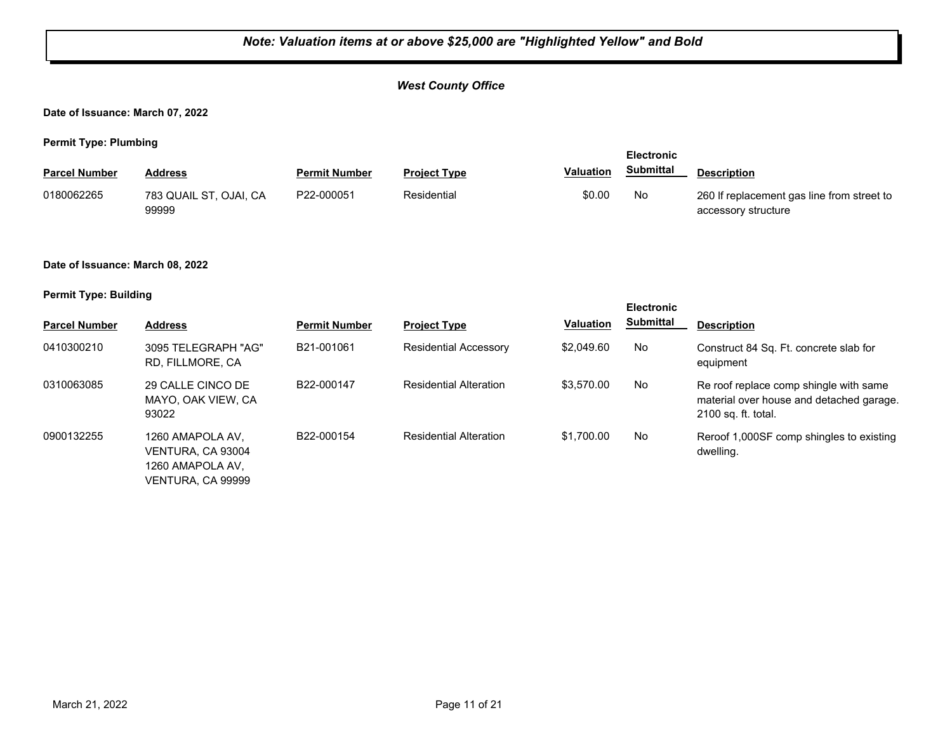#### *West County Office*

**Date of Issuance: March 07, 2022**

**Permit Type: Plumbing**

| $\cdots$             |                                 |                      | <b>Electronic</b>   |           |                  |                                                                   |
|----------------------|---------------------------------|----------------------|---------------------|-----------|------------------|-------------------------------------------------------------------|
| <b>Parcel Number</b> | Address                         | <b>Permit Number</b> | <b>Project Type</b> | Valuation | <b>Submittal</b> | <b>Description</b>                                                |
| 0180062265           | 783 QUAIL ST, OJAI, CA<br>99999 | P22-000051           | Residential         | \$0.00    | No               | 260 If replacement gas line from street to<br>accessory structure |

#### **Date of Issuance: March 08, 2022**

|                      |                                                                                |                      |                               |                  | <b>Electronic</b> |                                                                                                           |
|----------------------|--------------------------------------------------------------------------------|----------------------|-------------------------------|------------------|-------------------|-----------------------------------------------------------------------------------------------------------|
| <b>Parcel Number</b> | <b>Address</b>                                                                 | <b>Permit Number</b> | <b>Project Type</b>           | <b>Valuation</b> | <b>Submittal</b>  | <b>Description</b>                                                                                        |
| 0410300210           | 3095 TELEGRAPH "AG"<br>RD. FILLMORE. CA                                        | B21-001061           | <b>Residential Accessory</b>  | \$2,049.60       | No                | Construct 84 Sq. Ft. concrete slab for<br>equipment                                                       |
| 0310063085           | 29 CALLE CINCO DE<br>MAYO, OAK VIEW, CA<br>93022                               | B22-000147           | <b>Residential Alteration</b> | \$3,570.00       | No                | Re roof replace comp shingle with same<br>material over house and detached garage.<br>2100 sq. ft. total. |
| 0900132255           | 1260 AMAPOLA AV.<br>VENTURA, CA 93004<br>1260 AMAPOLA AV.<br>VENTURA. CA 99999 | B22-000154           | <b>Residential Alteration</b> | \$1,700.00       | No                | Reroof 1,000SF comp shingles to existing<br>dwelling.                                                     |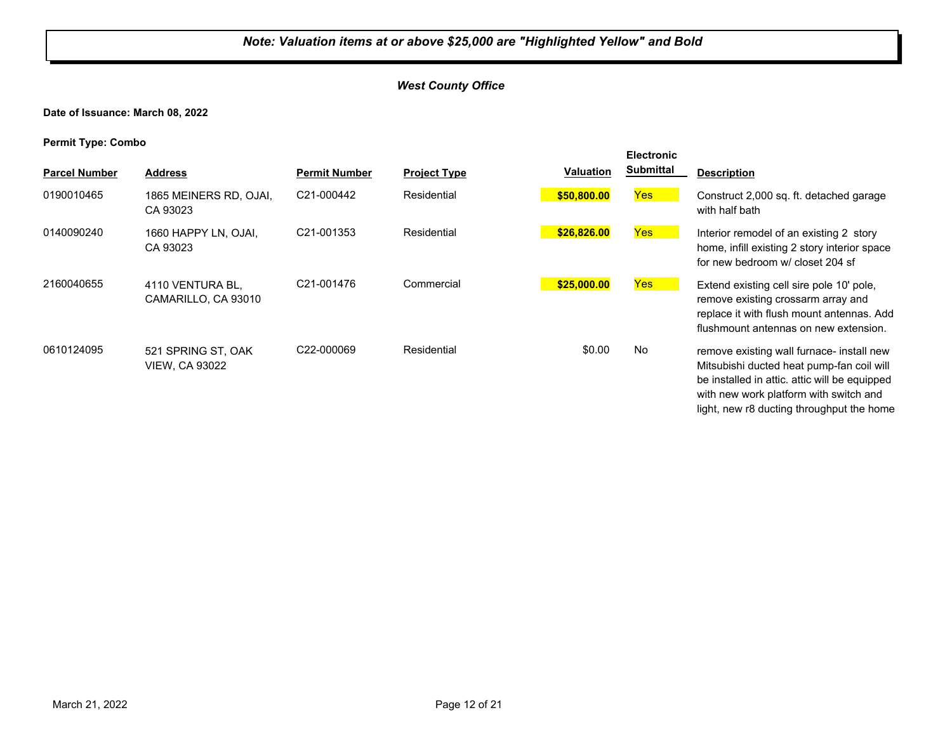#### *West County Office*

**Date of Issuance: March 08, 2022**

**Permit Type: Combo**

| <b>Parcel Number</b> | <b>Address</b>                              | <b>Permit Number</b>    | <b>Project Type</b> | <b>Valuation</b> | <b>Electronic</b><br><b>Submittal</b> | <b>Description</b>                                                                                                                                                                                                             |
|----------------------|---------------------------------------------|-------------------------|---------------------|------------------|---------------------------------------|--------------------------------------------------------------------------------------------------------------------------------------------------------------------------------------------------------------------------------|
| 0190010465           | 1865 MEINERS RD, OJAI,<br>CA 93023          | C21-000442              | Residential         | \$50,800.00      | Yes                                   | Construct 2,000 sq. ft. detached garage<br>with half bath                                                                                                                                                                      |
| 0140090240           | 1660 HAPPY LN, OJAI,<br>CA 93023            | C21-001353              | Residential         | \$26,826.00      | Yes                                   | Interior remodel of an existing 2 story<br>home, infill existing 2 story interior space<br>for new bedroom w/ closet 204 sf                                                                                                    |
| 2160040655           | 4110 VENTURA BL,<br>CAMARILLO, CA 93010     | C21-001476              | Commercial          | \$25,000.00      | Yes                                   | Extend existing cell sire pole 10' pole,<br>remove existing crossarm array and<br>replace it with flush mount antennas. Add<br>flushmount antennas on new extension.                                                           |
| 0610124095           | 521 SPRING ST, OAK<br><b>VIEW, CA 93022</b> | C <sub>22</sub> -000069 | Residential         | \$0.00           | <b>No</b>                             | remove existing wall furnace- install new<br>Mitsubishi ducted heat pump-fan coil will<br>be installed in attic. attic will be equipped<br>with new work platform with switch and<br>light, new r8 ducting throughput the home |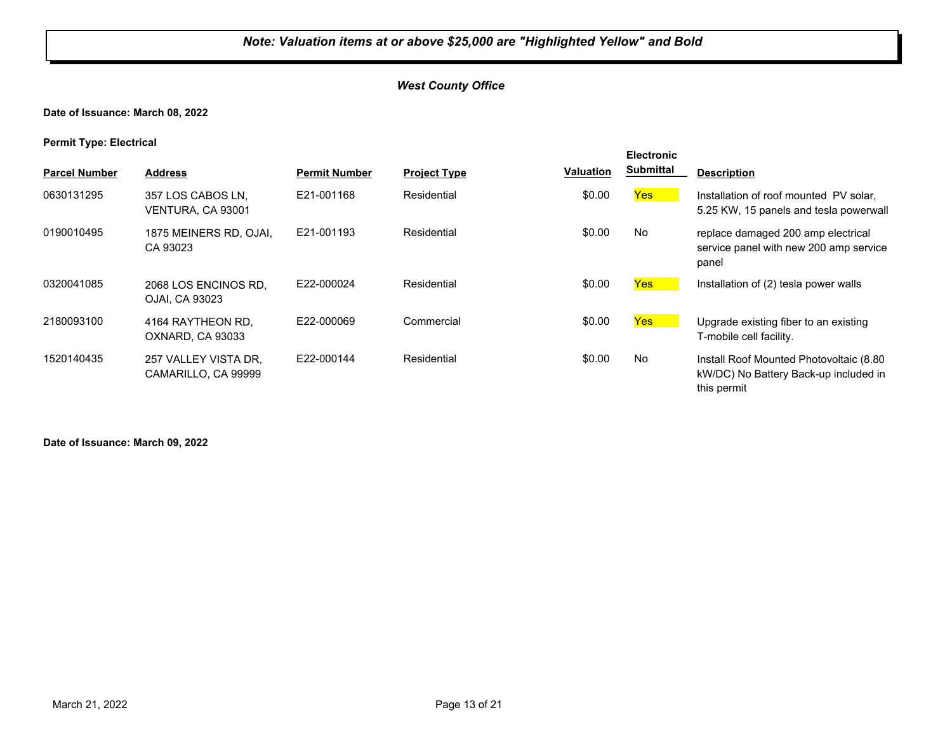#### *West County Office*

#### **Date of Issuance: March 08, 2022**

**Permit Type: Electrical**

| . .<br><b>Parcel Number</b> | <b>Address</b>                              | <b>Permit Number</b> | <b>Project Type</b> | Valuation | <b>Electronic</b><br><b>Submittal</b> | <b>Description</b>                                                                              |
|-----------------------------|---------------------------------------------|----------------------|---------------------|-----------|---------------------------------------|-------------------------------------------------------------------------------------------------|
| 0630131295                  | 357 LOS CABOS LN,<br>VENTURA, CA 93001      | E21-001168           | Residential         | \$0.00    | Yes                                   | Installation of roof mounted PV solar,<br>5.25 KW, 15 panels and tesla powerwall                |
| 0190010495                  | 1875 MEINERS RD, OJAI,<br>CA 93023          | E21-001193           | Residential         | \$0.00    | <b>No</b>                             | replace damaged 200 amp electrical<br>service panel with new 200 amp service<br>panel           |
| 0320041085                  | 2068 LOS ENCINOS RD.<br>OJAI. CA 93023      | E22-000024           | Residential         | \$0.00    | <b>Yes</b>                            | Installation of (2) tesla power walls                                                           |
| 2180093100                  | 4164 RAYTHEON RD.<br>OXNARD, CA 93033       | E22-000069           | Commercial          | \$0.00    | Yes                                   | Upgrade existing fiber to an existing<br>T-mobile cell facility.                                |
| 1520140435                  | 257 VALLEY VISTA DR.<br>CAMARILLO, CA 99999 | E22-000144           | Residential         | \$0.00    | <b>No</b>                             | Install Roof Mounted Photovoltaic (8.80<br>kW/DC) No Battery Back-up included in<br>this permit |

**Date of Issuance: March 09, 2022**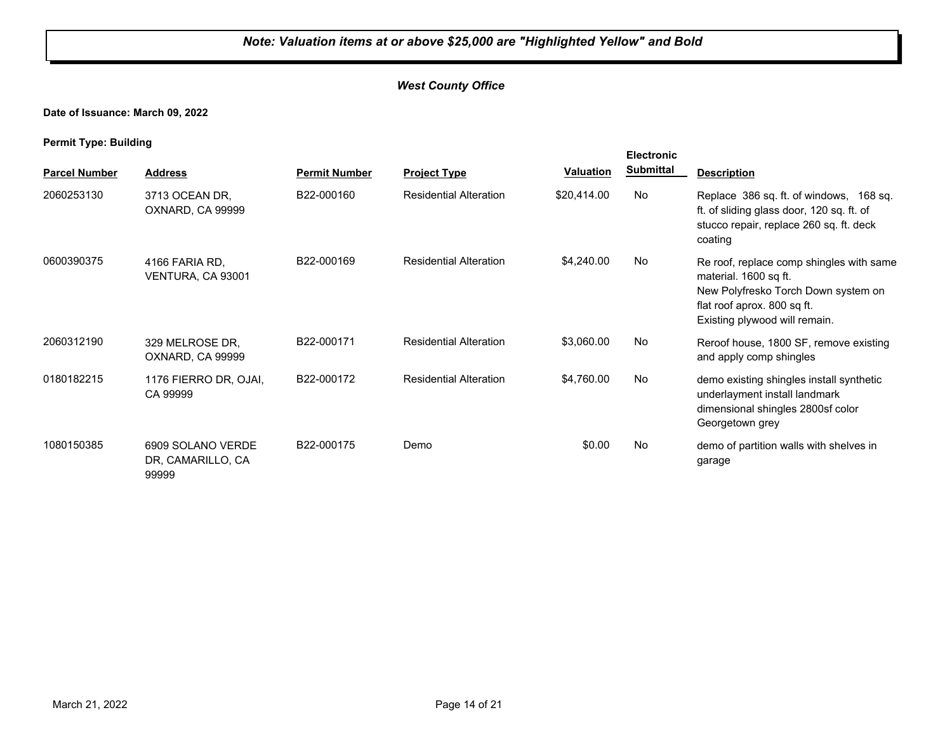#### *West County Office*

**Date of Issuance: March 09, 2022**

|                      |                                                 |                      |                               |             | <b>Electronic</b> |                                                                                                                                                                          |
|----------------------|-------------------------------------------------|----------------------|-------------------------------|-------------|-------------------|--------------------------------------------------------------------------------------------------------------------------------------------------------------------------|
| <b>Parcel Number</b> | <b>Address</b>                                  | <b>Permit Number</b> | <b>Project Type</b>           | Valuation   | <b>Submittal</b>  | <b>Description</b>                                                                                                                                                       |
| 2060253130           | 3713 OCEAN DR,<br>OXNARD, CA 99999              | B22-000160           | <b>Residential Alteration</b> | \$20,414.00 | No                | Replace 386 sq. ft. of windows, 168 sq.<br>ft. of sliding glass door, 120 sq. ft. of<br>stucco repair, replace 260 sq. ft. deck<br>coating                               |
| 0600390375           | 4166 FARIA RD.<br>VENTURA, CA 93001             | B22-000169           | <b>Residential Alteration</b> | \$4,240.00  | No                | Re roof, replace comp shingles with same<br>material. 1600 sq ft.<br>New Polyfresko Torch Down system on<br>flat roof aprox. 800 sq ft.<br>Existing plywood will remain. |
| 2060312190           | 329 MELROSE DR,<br>OXNARD, CA 99999             | B22-000171           | <b>Residential Alteration</b> | \$3,060.00  | No.               | Reroof house, 1800 SF, remove existing<br>and apply comp shingles                                                                                                        |
| 0180182215           | 1176 FIERRO DR, OJAI,<br>CA 99999               | B22-000172           | <b>Residential Alteration</b> | \$4,760.00  | No                | demo existing shingles install synthetic<br>underlayment install landmark<br>dimensional shingles 2800sf color<br>Georgetown grey                                        |
| 1080150385           | 6909 SOLANO VERDE<br>DR, CAMARILLO, CA<br>99999 | B22-000175           | Demo                          | \$0.00      | No                | demo of partition walls with shelves in<br>garage                                                                                                                        |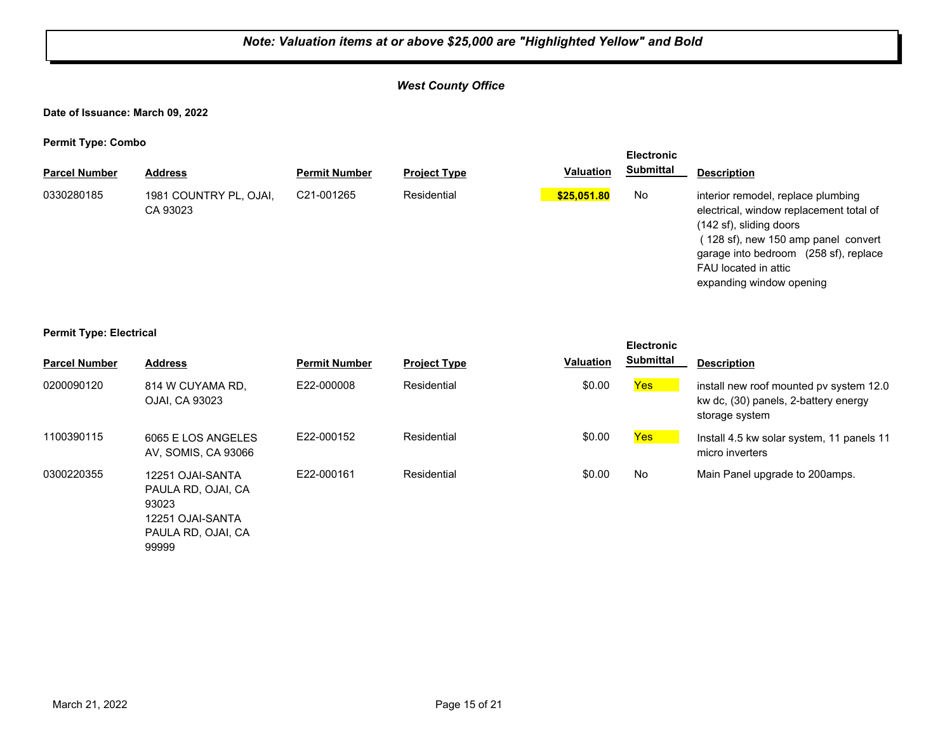#### *West County Office*

**Date of Issuance: March 09, 2022**

**Permit Type: Combo**

| . .                  |                                    |                      |                     |                  | <b>Electronic</b> |                                                                                                                                                                                                                                             |
|----------------------|------------------------------------|----------------------|---------------------|------------------|-------------------|---------------------------------------------------------------------------------------------------------------------------------------------------------------------------------------------------------------------------------------------|
| <b>Parcel Number</b> | <b>Address</b>                     | <b>Permit Number</b> | <b>Project Type</b> | <b>Valuation</b> | <b>Submittal</b>  | <b>Description</b>                                                                                                                                                                                                                          |
| 0330280185           | 1981 COUNTRY PL, OJAI,<br>CA 93023 | C21-001265           | Residential         | \$25,051.80      | No.               | interior remodel, replace plumbing<br>electrical, window replacement total of<br>(142 sf), sliding doors<br>128 sf), new 150 amp panel convert<br>garage into bedroom (258 sf), replace<br>FAU located in attic<br>expanding window opening |

#### **Permit Type: Electrical**

|                      |                                                                                                    |                      |                     |           | <b>Electronic</b> |                                                                                                   |
|----------------------|----------------------------------------------------------------------------------------------------|----------------------|---------------------|-----------|-------------------|---------------------------------------------------------------------------------------------------|
| <b>Parcel Number</b> | <b>Address</b>                                                                                     | <b>Permit Number</b> | <b>Project Type</b> | Valuation | <b>Submittal</b>  | <b>Description</b>                                                                                |
| 0200090120           | 814 W CUYAMA RD.<br>OJAI, CA 93023                                                                 | E22-000008           | Residential         | \$0.00    | Yes               | install new roof mounted pv system 12.0<br>kw dc, (30) panels, 2-battery energy<br>storage system |
| 1100390115           | 6065 E LOS ANGELES<br>AV, SOMIS, CA 93066                                                          | E22-000152           | Residential         | \$0.00    | Yes               | Install 4.5 kw solar system, 11 panels 11<br>micro inverters                                      |
| 0300220355           | 12251 OJAI-SANTA<br>PAULA RD. OJAI. CA<br>93023<br>12251 OJAI-SANTA<br>PAULA RD, OJAI, CA<br>99999 | E22-000161           | Residential         | \$0.00    | No                | Main Panel upgrade to 200 amps.                                                                   |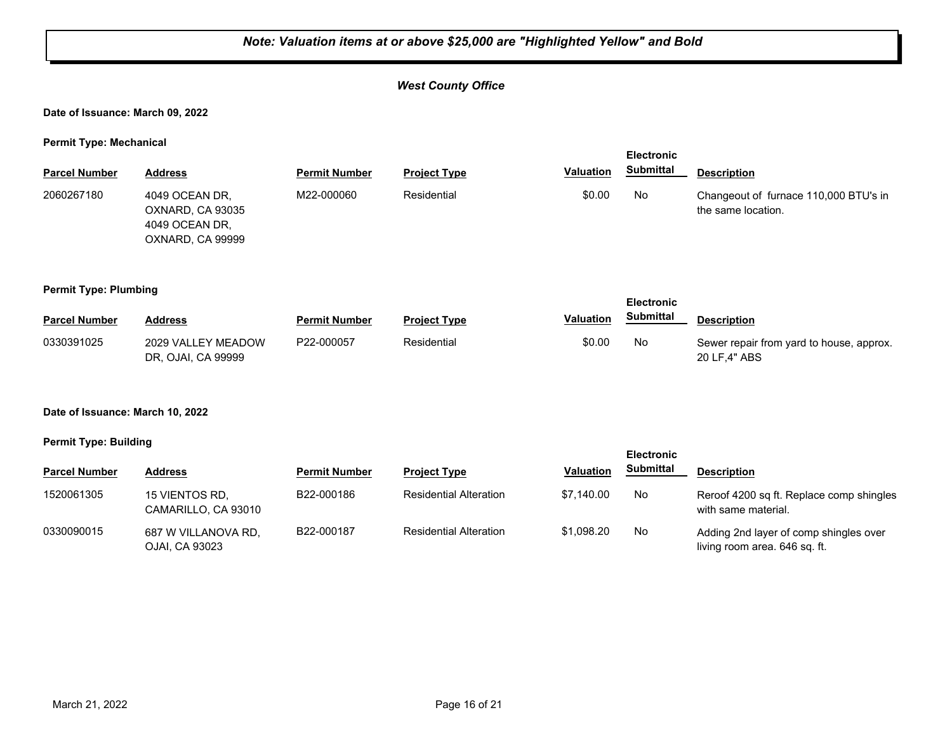#### *West County Office*

#### **Date of Issuance: March 09, 2022**

**Permit Type: Mechanical**

|                                  |                                                                          |                      |                               |                  | <b>Electronic</b> |                                                                         |
|----------------------------------|--------------------------------------------------------------------------|----------------------|-------------------------------|------------------|-------------------|-------------------------------------------------------------------------|
| <b>Parcel Number</b>             | <b>Address</b>                                                           | <b>Permit Number</b> | <b>Project Type</b>           | <b>Valuation</b> | <b>Submittal</b>  | <b>Description</b>                                                      |
| 2060267180                       | 4049 OCEAN DR,<br>OXNARD, CA 93035<br>4049 OCEAN DR.<br>OXNARD, CA 99999 | M22-000060           | Residential                   | \$0.00           | No                | Changeout of furnace 110,000 BTU's in<br>the same location.             |
| <b>Permit Type: Plumbing</b>     |                                                                          |                      |                               |                  | <b>Electronic</b> |                                                                         |
| <b>Parcel Number</b>             | <b>Address</b>                                                           | <b>Permit Number</b> | <b>Project Type</b>           | <b>Valuation</b> | <b>Submittal</b>  | <b>Description</b>                                                      |
| 0330391025                       | 2029 VALLEY MEADOW<br>DR, OJAI, CA 99999                                 | P22-000057           | Residential                   | \$0.00           | No                | Sewer repair from yard to house, approx.<br>20 LF,4" ABS                |
| Date of Issuance: March 10, 2022 |                                                                          |                      |                               |                  |                   |                                                                         |
| <b>Permit Type: Building</b>     |                                                                          |                      |                               |                  | <b>Electronic</b> |                                                                         |
| <b>Parcel Number</b>             | <b>Address</b>                                                           | <b>Permit Number</b> | <b>Project Type</b>           | Valuation        | <b>Submittal</b>  | <b>Description</b>                                                      |
| 1520061305                       | 15 VIENTOS RD,<br>CAMARILLO, CA 93010                                    | B22-000186           | <b>Residential Alteration</b> | \$7,140.00       | No                | Reroof 4200 sq ft. Replace comp shingles<br>with same material.         |
| 0330090015                       | 687 W VILLANOVA RD,<br>OJAI, CA 93023                                    | B22-000187           | <b>Residential Alteration</b> | \$1,098.20       | No                | Adding 2nd layer of comp shingles over<br>living room area. 646 sq. ft. |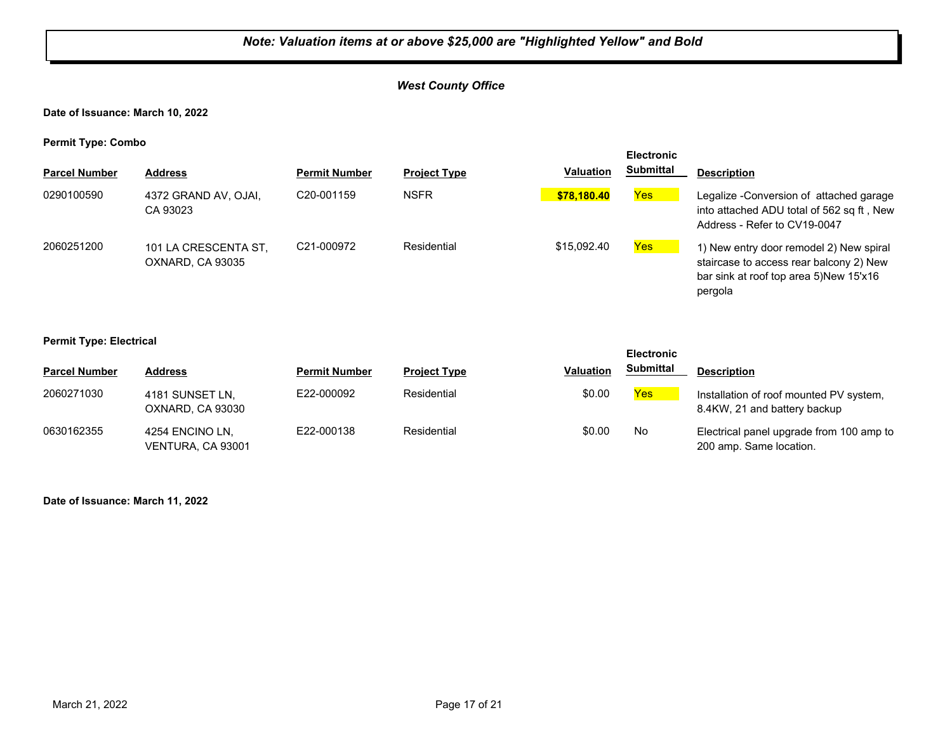#### *West County Office*

**Date of Issuance: March 10, 2022**

**Permit Type: Combo**

| - -                  |                                          |                         |                     |                  | <b>Electronic</b> |                                                                                                                                         |
|----------------------|------------------------------------------|-------------------------|---------------------|------------------|-------------------|-----------------------------------------------------------------------------------------------------------------------------------------|
| <b>Parcel Number</b> | <b>Address</b>                           | <b>Permit Number</b>    | <b>Project Type</b> | <b>Valuation</b> | <b>Submittal</b>  | <b>Description</b>                                                                                                                      |
| 0290100590           | 4372 GRAND AV, OJAI,<br>CA 93023         | C <sub>20</sub> -001159 | <b>NSFR</b>         | \$78.180.40      | Yes               | Legalize - Conversion of attached garage<br>into attached ADU total of 562 sq ft, New<br>Address - Refer to CV19-0047                   |
| 2060251200           | 101 LA CRESCENTA ST,<br>OXNARD, CA 93035 | C <sub>21</sub> -000972 | Residential         | \$15,092.40      | Yes               | 1) New entry door remodel 2) New spiral<br>staircase to access rear balcony 2) New<br>bar sink at roof top area 5)New 15'x16<br>pergola |

#### **Permit Type: Electrical**

| <b>Parcel Number</b> | Address                              | <b>Permit Number</b> | <b>Project Type</b> | Valuation | <b>Submittal</b> | <b>Description</b>                                                      |
|----------------------|--------------------------------------|----------------------|---------------------|-----------|------------------|-------------------------------------------------------------------------|
| 2060271030           | 4181 SUNSET LN,<br>OXNARD, CA 93030  | E22-000092           | Residential         | \$0.00    | Yes              | Installation of roof mounted PV system,<br>8.4KW, 21 and battery backup |
| 0630162355           | 4254 ENCINO LN.<br>VENTURA, CA 93001 | E22-000138           | Residential         | \$0.00    | No               | Electrical panel upgrade from 100 amp to<br>200 amp. Same location.     |

**Electronic** 

**Date of Issuance: March 11, 2022**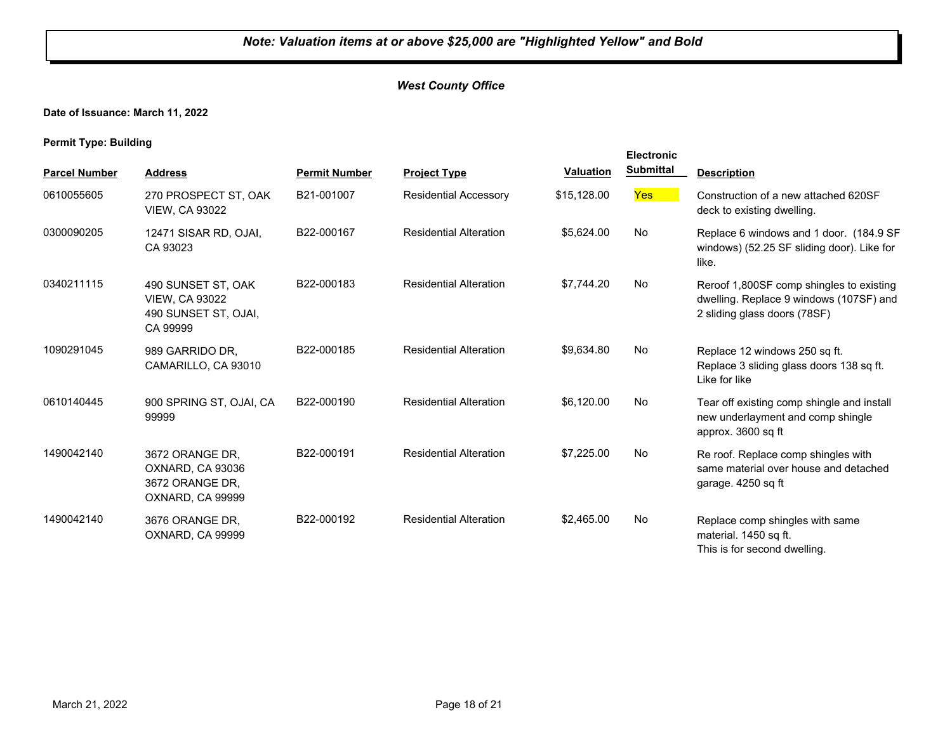#### *West County Office*

**Date of Issuance: March 11, 2022**

|                      |                                                                                 |                      |                               |                  | <b>Electronic</b> |                                                                                                                     |
|----------------------|---------------------------------------------------------------------------------|----------------------|-------------------------------|------------------|-------------------|---------------------------------------------------------------------------------------------------------------------|
| <b>Parcel Number</b> | <b>Address</b>                                                                  | <b>Permit Number</b> | <b>Project Type</b>           | <b>Valuation</b> | <b>Submittal</b>  | <b>Description</b>                                                                                                  |
| 0610055605           | 270 PROSPECT ST. OAK<br><b>VIEW, CA 93022</b>                                   | B21-001007           | <b>Residential Accessory</b>  | \$15,128.00      | <b>Yes</b>        | Construction of a new attached 620SF<br>deck to existing dwelling.                                                  |
| 0300090205           | 12471 SISAR RD, OJAI,<br>CA 93023                                               | B22-000167           | <b>Residential Alteration</b> | \$5,624.00       | No.               | Replace 6 windows and 1 door. (184.9 SF<br>windows) (52.25 SF sliding door). Like for<br>like.                      |
| 0340211115           | 490 SUNSET ST, OAK<br><b>VIEW, CA 93022</b><br>490 SUNSET ST, OJAI,<br>CA 99999 | B22-000183           | <b>Residential Alteration</b> | \$7,744.20       | No                | Reroof 1,800SF comp shingles to existing<br>dwelling. Replace 9 windows (107SF) and<br>2 sliding glass doors (78SF) |
| 1090291045           | 989 GARRIDO DR,<br>CAMARILLO, CA 93010                                          | B22-000185           | <b>Residential Alteration</b> | \$9,634.80       | <b>No</b>         | Replace 12 windows 250 sq ft.<br>Replace 3 sliding glass doors 138 sq ft.<br>Like for like                          |
| 0610140445           | 900 SPRING ST, OJAI, CA<br>99999                                                | B22-000190           | <b>Residential Alteration</b> | \$6,120.00       | No                | Tear off existing comp shingle and install<br>new underlayment and comp shingle<br>approx. 3600 sq ft               |
| 1490042140           | 3672 ORANGE DR,<br>OXNARD, CA 93036<br>3672 ORANGE DR,<br>OXNARD, CA 99999      | B22-000191           | <b>Residential Alteration</b> | \$7,225.00       | No                | Re roof. Replace comp shingles with<br>same material over house and detached<br>garage. 4250 sq ft                  |
| 1490042140           | 3676 ORANGE DR,<br>OXNARD, CA 99999                                             | B22-000192           | <b>Residential Alteration</b> | \$2,465.00       | <b>No</b>         | Replace comp shingles with same<br>material. 1450 sq ft.<br>This is for second dwelling.                            |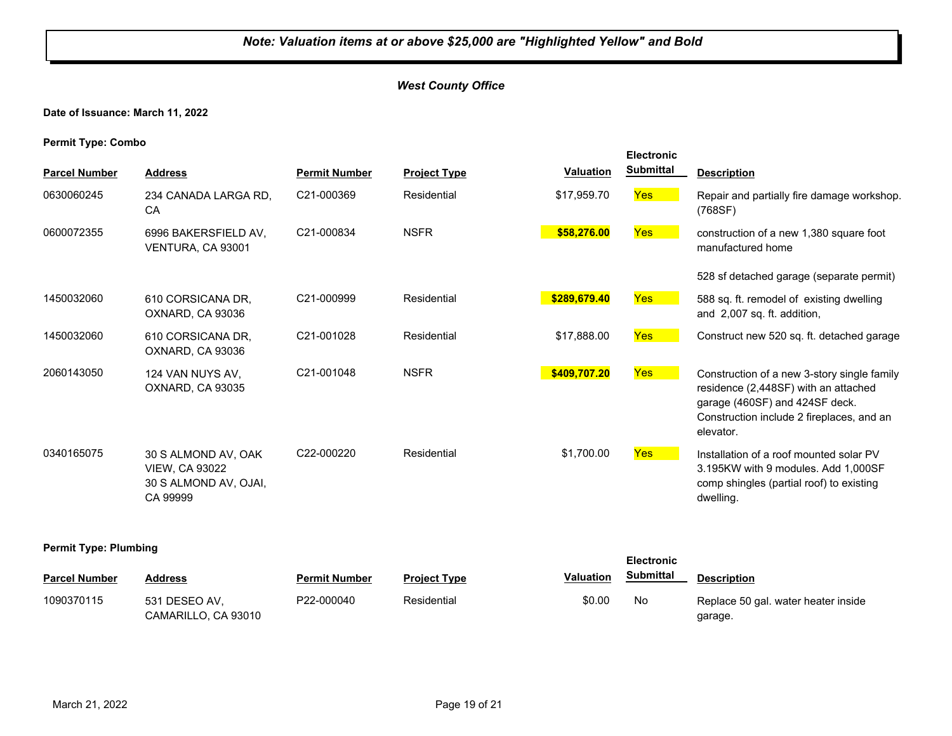#### *West County Office*

**Date of Issuance: March 11, 2022**

**Permit Type: Combo**

|                      |                                                                                   |                         |                     |                  | <b>Electronic</b> |                                                                                                                                                                                 |
|----------------------|-----------------------------------------------------------------------------------|-------------------------|---------------------|------------------|-------------------|---------------------------------------------------------------------------------------------------------------------------------------------------------------------------------|
| <b>Parcel Number</b> | <b>Address</b>                                                                    | <b>Permit Number</b>    | <b>Project Type</b> | <b>Valuation</b> | <b>Submittal</b>  | <b>Description</b>                                                                                                                                                              |
| 0630060245           | 234 CANADA LARGA RD.<br>CA                                                        | C21-000369              | Residential         | \$17,959.70      | <b>Yes</b>        | Repair and partially fire damage workshop.<br>(768SF)                                                                                                                           |
| 0600072355           | 6996 BAKERSFIELD AV.<br>VENTURA, CA 93001                                         | C21-000834              | <b>NSFR</b>         | \$58,276.00      | Yes               | construction of a new 1,380 square foot<br>manufactured home                                                                                                                    |
|                      |                                                                                   |                         |                     |                  |                   | 528 sf detached garage (separate permit)                                                                                                                                        |
| 1450032060           | 610 CORSICANA DR,<br>OXNARD, CA 93036                                             | C21-000999              | Residential         | \$289,679.40     | <b>Yes</b>        | 588 sq. ft. remodel of existing dwelling<br>and 2,007 sq. ft. addition,                                                                                                         |
| 1450032060           | 610 CORSICANA DR,<br>OXNARD, CA 93036                                             | C21-001028              | Residential         | \$17,888.00      | <b>Yes</b>        | Construct new 520 sq. ft. detached garage                                                                                                                                       |
| 2060143050           | 124 VAN NUYS AV,<br>OXNARD, CA 93035                                              | C21-001048              | <b>NSFR</b>         | \$409,707.20     | <b>Yes</b>        | Construction of a new 3-story single family<br>residence (2,448SF) with an attached<br>garage (460SF) and 424SF deck.<br>Construction include 2 fireplaces, and an<br>elevator. |
| 0340165075           | 30 S ALMOND AV, OAK<br><b>VIEW, CA 93022</b><br>30 S ALMOND AV, OJAI,<br>CA 99999 | C <sub>22</sub> -000220 | Residential         | \$1,700.00       | <b>Yes</b>        | Installation of a roof mounted solar PV<br>3.195KW with 9 modules, Add 1.000SF<br>comp shingles (partial roof) to existing<br>dwelling.                                         |

#### **Permit Type: Plumbing**

| . .                  |                                      |                      |                     |                  | <b>Electronic</b> |                                                |
|----------------------|--------------------------------------|----------------------|---------------------|------------------|-------------------|------------------------------------------------|
| <b>Parcel Number</b> | Address                              | <b>Permit Number</b> | <b>Project Type</b> | <b>Valuation</b> | Submittal         | <b>Description</b>                             |
| 1090370115           | 531 DESEO AV.<br>CAMARILLO, CA 93010 | P22-000040           | Residential         | \$0.00           | No                | Replace 50 gal. water heater inside<br>garage. |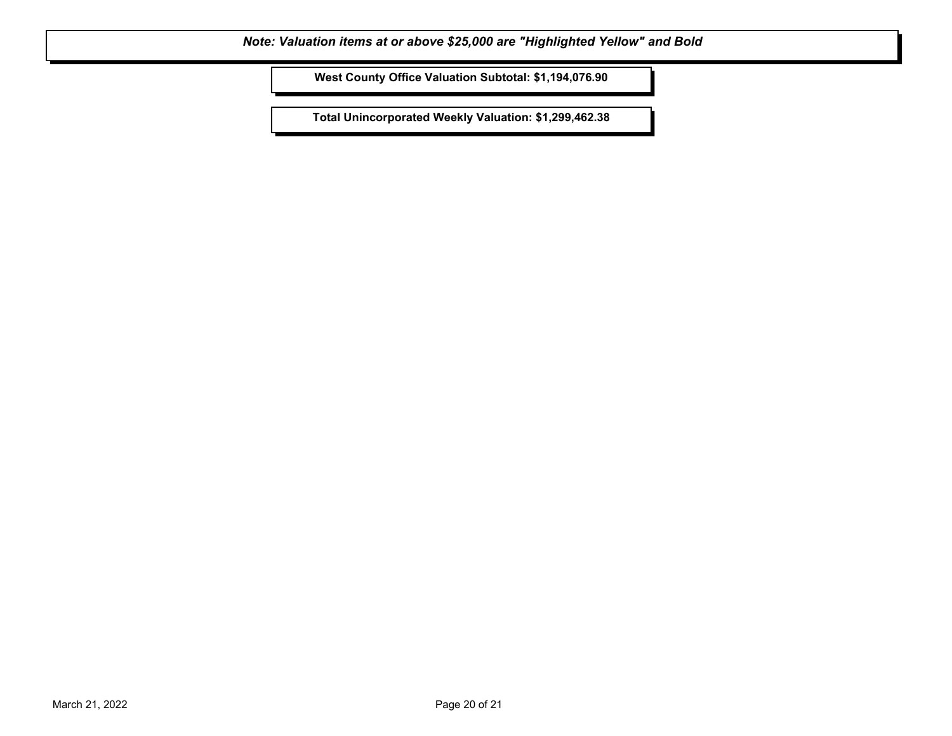**West County Office Valuation Subtotal: \$1,194,076.90**

**Total Unincorporated Weekly Valuation: \$1,299,462.38**